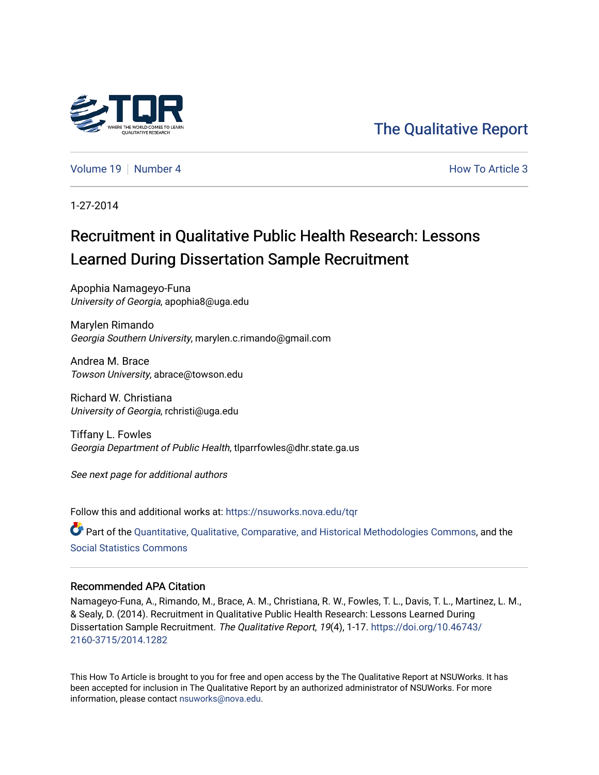

[The Qualitative Report](https://nsuworks.nova.edu/tqr) 

[Volume 19](https://nsuworks.nova.edu/tqr/vol19) [Number 4](https://nsuworks.nova.edu/tqr/vol19/iss4) **How To Article 3** How To Article 3

1-27-2014

# Recruitment in Qualitative Public Health Research: Lessons Learned During Dissertation Sample Recruitment

Apophia Namageyo-Funa University of Georgia, apophia8@uga.edu

Marylen Rimando Georgia Southern University, marylen.c.rimando@gmail.com

Andrea M. Brace Towson University, abrace@towson.edu

Richard W. Christiana University of Georgia, rchristi@uga.edu

Tiffany L. Fowles Georgia Department of Public Health, tlparrfowles@dhr.state.ga.us

See next page for additional authors

Follow this and additional works at: [https://nsuworks.nova.edu/tqr](https://nsuworks.nova.edu/tqr?utm_source=nsuworks.nova.edu%2Ftqr%2Fvol19%2Fiss4%2F3&utm_medium=PDF&utm_campaign=PDFCoverPages) 

Part of the [Quantitative, Qualitative, Comparative, and Historical Methodologies Commons,](http://network.bepress.com/hgg/discipline/423?utm_source=nsuworks.nova.edu%2Ftqr%2Fvol19%2Fiss4%2F3&utm_medium=PDF&utm_campaign=PDFCoverPages) and the [Social Statistics Commons](http://network.bepress.com/hgg/discipline/1275?utm_source=nsuworks.nova.edu%2Ftqr%2Fvol19%2Fiss4%2F3&utm_medium=PDF&utm_campaign=PDFCoverPages) 

#### Recommended APA Citation

Namageyo-Funa, A., Rimando, M., Brace, A. M., Christiana, R. W., Fowles, T. L., Davis, T. L., Martinez, L. M., & Sealy, D. (2014). Recruitment in Qualitative Public Health Research: Lessons Learned During Dissertation Sample Recruitment. The Qualitative Report, 19(4), 1-17. [https://doi.org/10.46743/](https://doi.org/10.46743/2160-3715/2014.1282) [2160-3715/2014.1282](https://doi.org/10.46743/2160-3715/2014.1282)

This How To Article is brought to you for free and open access by the The Qualitative Report at NSUWorks. It has been accepted for inclusion in The Qualitative Report by an authorized administrator of NSUWorks. For more information, please contact [nsuworks@nova.edu.](mailto:nsuworks@nova.edu)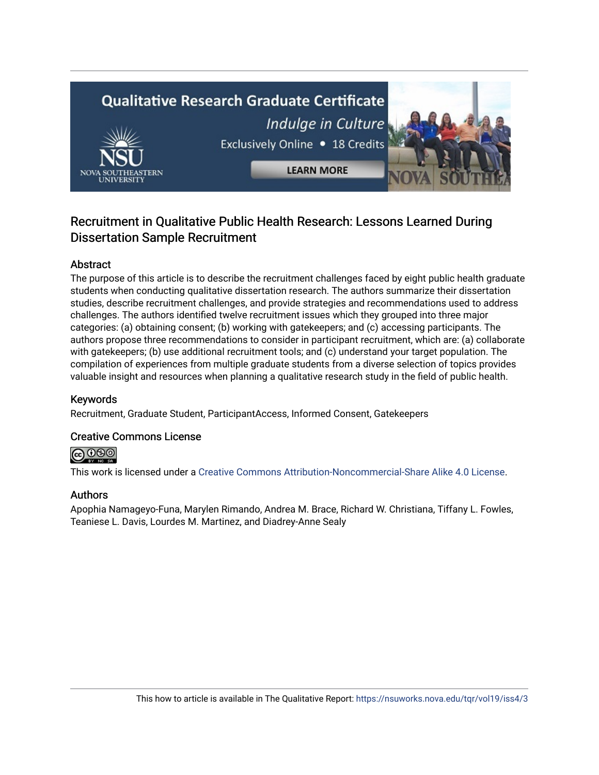# **Qualitative Research Graduate Certificate** Indulge in Culture Exclusively Online . 18 Credits **LEARN MORE**

# Recruitment in Qualitative Public Health Research: Lessons Learned During Dissertation Sample Recruitment

# Abstract

The purpose of this article is to describe the recruitment challenges faced by eight public health graduate students when conducting qualitative dissertation research. The authors summarize their dissertation studies, describe recruitment challenges, and provide strategies and recommendations used to address challenges. The authors identified twelve recruitment issues which they grouped into three major categories: (a) obtaining consent; (b) working with gatekeepers; and (c) accessing participants. The authors propose three recommendations to consider in participant recruitment, which are: (a) collaborate with gatekeepers; (b) use additional recruitment tools; and (c) understand your target population. The compilation of experiences from multiple graduate students from a diverse selection of topics provides valuable insight and resources when planning a qualitative research study in the field of public health.

# Keywords

Recruitment, Graduate Student, ParticipantAccess, Informed Consent, Gatekeepers

# Creative Commons License

@ 0®

This work is licensed under a [Creative Commons Attribution-Noncommercial-Share Alike 4.0 License](https://creativecommons.org/licenses/by-nc-sa/4.0/).

# Authors

Apophia Namageyo-Funa, Marylen Rimando, Andrea M. Brace, Richard W. Christiana, Tiffany L. Fowles, Teaniese L. Davis, Lourdes M. Martinez, and Diadrey-Anne Sealy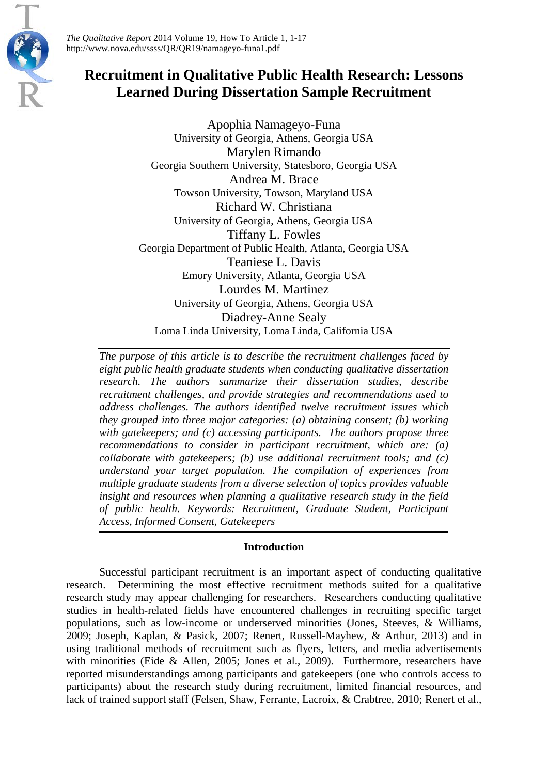

*The Qualitative Report* 2014 Volume 19, How To Article 1, 1-17 http://www.nova.edu/ssss/QR/QR19/namageyo-funa1.pdf

# **Recruitment in Qualitative Public Health Research: Lessons Learned During Dissertation Sample Recruitment**

Apophia Namageyo-Funa University of Georgia, Athens, Georgia USA Marylen Rimando Georgia Southern University, Statesboro, Georgia USA Andrea M. Brace Towson University, Towson, Maryland USA Richard W. Christiana University of Georgia, Athens, Georgia USA Tiffany L. Fowles Georgia Department of Public Health, Atlanta, Georgia USA Teaniese L. Davis Emory University, Atlanta, Georgia USA Lourdes M. Martinez University of Georgia, Athens, Georgia USA Diadrey-Anne Sealy Loma Linda University, Loma Linda, California USA

*The purpose of this article is to describe the recruitment challenges faced by eight public health graduate students when conducting qualitative dissertation research. The authors summarize their dissertation studies, describe recruitment challenges, and provide strategies and recommendations used to address challenges. The authors identified twelve recruitment issues which they grouped into three major categories: (a) obtaining consent; (b) working with gatekeepers; and (c) accessing participants. The authors propose three recommendations to consider in participant recruitment, which are: (a) collaborate with gatekeepers; (b) use additional recruitment tools; and (c) understand your target population. The compilation of experiences from multiple graduate students from a diverse selection of topics provides valuable insight and resources when planning a qualitative research study in the field of public health. Keywords: Recruitment, Graduate Student, Participant Access, Informed Consent, Gatekeepers*

# **Introduction**

Successful participant recruitment is an important aspect of conducting qualitative research. Determining the most effective recruitment methods suited for a qualitative research study may appear challenging for researchers. Researchers conducting qualitative studies in health-related fields have encountered challenges in recruiting specific target populations, such as low-income or underserved minorities (Jones, Steeves, & Williams, 2009; Joseph, Kaplan, & Pasick, 2007; Renert, Russell-Mayhew, & Arthur, 2013) and in using traditional methods of recruitment such as flyers, letters, and media advertisements with minorities (Eide & Allen, 2005; Jones et al., 2009). Furthermore, researchers have reported misunderstandings among participants and gatekeepers (one who controls access to participants) about the research study during recruitment, limited financial resources, and lack of trained support staff (Felsen, Shaw, Ferrante, Lacroix, & Crabtree, 2010; Renert et al.,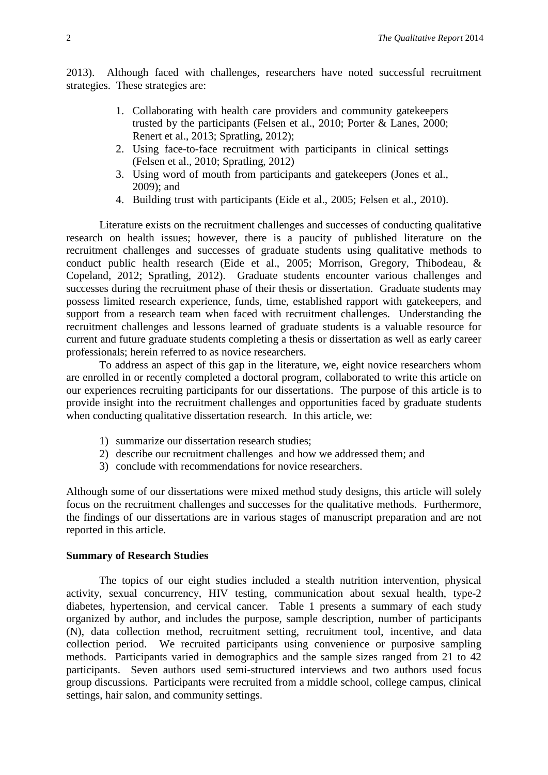2013). Although faced with challenges, researchers have noted successful recruitment strategies. These strategies are:

- 1. Collaborating with health care providers and community gatekeepers trusted by the participants (Felsen et al., 2010; Porter & Lanes, 2000; Renert et al., 2013; Spratling, 2012);
- 2. Using face-to-face recruitment with participants in clinical settings (Felsen et al., 2010; Spratling, 2012)
- 3. Using word of mouth from participants and gatekeepers (Jones et al., 2009); and
- 4. Building trust with participants (Eide et al., 2005; Felsen et al., 2010).

Literature exists on the recruitment challenges and successes of conducting qualitative research on health issues; however, there is a paucity of published literature on the recruitment challenges and successes of graduate students using qualitative methods to conduct public health research (Eide et al., 2005; Morrison, Gregory, Thibodeau, & Copeland, 2012; Spratling, 2012). Graduate students encounter various challenges and successes during the recruitment phase of their thesis or dissertation. Graduate students may possess limited research experience, funds, time, established rapport with gatekeepers, and support from a research team when faced with recruitment challenges. Understanding the recruitment challenges and lessons learned of graduate students is a valuable resource for current and future graduate students completing a thesis or dissertation as well as early career professionals; herein referred to as novice researchers.

To address an aspect of this gap in the literature, we, eight novice researchers whom are enrolled in or recently completed a doctoral program, collaborated to write this article on our experiences recruiting participants for our dissertations. The purpose of this article is to provide insight into the recruitment challenges and opportunities faced by graduate students when conducting qualitative dissertation research. In this article, we:

- 1) summarize our dissertation research studies;
- 2) describe our recruitment challenges and how we addressed them; and
- 3) conclude with recommendations for novice researchers.

Although some of our dissertations were mixed method study designs, this article will solely focus on the recruitment challenges and successes for the qualitative methods. Furthermore, the findings of our dissertations are in various stages of manuscript preparation and are not reported in this article.

#### **Summary of Research Studies**

The topics of our eight studies included a stealth nutrition intervention, physical activity, sexual concurrency, HIV testing, communication about sexual health, type-2 diabetes, hypertension, and cervical cancer. Table 1 presents a summary of each study organized by author, and includes the purpose, sample description, number of participants (N), data collection method, recruitment setting, recruitment tool, incentive, and data collection period. We recruited participants using convenience or purposive sampling methods. Participants varied in demographics and the sample sizes ranged from 21 to 42 participants. Seven authors used semi-structured interviews and two authors used focus group discussions. Participants were recruited from a middle school, college campus, clinical settings, hair salon, and community settings.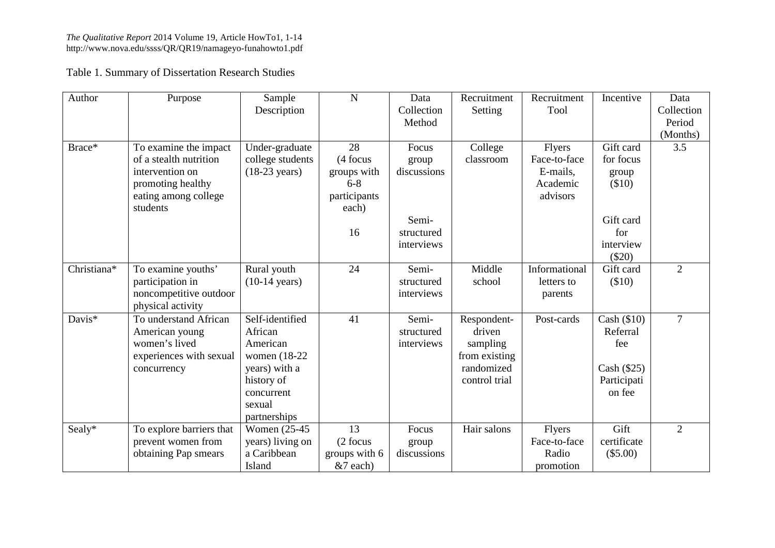Table 1. Summary of Dissertation Research Studies

| Author                  | Purpose                  | Sample                  | ${\bf N}$     | Data        | Recruitment   | Recruitment   | Incentive     | Data           |
|-------------------------|--------------------------|-------------------------|---------------|-------------|---------------|---------------|---------------|----------------|
|                         |                          | Description             |               | Collection  | Setting       | Tool          |               | Collection     |
|                         |                          |                         |               | Method      |               |               |               | Period         |
|                         |                          |                         |               |             |               |               |               | (Months)       |
| Brace*                  | To examine the impact    | Under-graduate          | 28            | Focus       | College       | Flyers        | Gift card     | 3.5            |
|                         | of a stealth nutrition   | college students        | (4 focus      | group       | classroom     | Face-to-face  | for focus     |                |
|                         | intervention on          | $(18-23 \text{ years})$ | groups with   | discussions |               | E-mails,      | group         |                |
|                         | promoting healthy        |                         | $6 - 8$       |             |               | Academic      | \$10)         |                |
|                         | eating among college     |                         | participants  |             |               | advisors      |               |                |
|                         | students                 |                         | each)         |             |               |               |               |                |
|                         |                          |                         |               | Semi-       |               |               | Gift card     |                |
|                         |                          |                         | 16            | structured  |               |               | for           |                |
|                         |                          |                         |               | interviews  |               |               | interview     |                |
|                         |                          |                         |               |             |               |               | $(\$20)$      |                |
| Christiana*             | To examine youths'       | Rural youth             | 24            | Semi-       | Middle        | Informational | Gift card     | $\overline{2}$ |
|                         | participation in         | $(10-14 \text{ years})$ |               | structured  | school        | letters to    | \$10)         |                |
|                         | noncompetitive outdoor   |                         |               | interviews  |               | parents       |               |                |
|                         | physical activity        |                         |               |             |               |               |               |                |
| Davis $\overline{\ast}$ | To understand African    | Self-identified         | 41            | Semi-       | Respondent-   | Post-cards    | Cash $(\$10)$ | $\overline{7}$ |
|                         | American young           | African                 |               | structured  | driven        |               | Referral      |                |
|                         | women's lived            | American                |               | interviews  | sampling      |               | fee           |                |
|                         | experiences with sexual  | women (18-22)           |               |             | from existing |               |               |                |
|                         | concurrency              | years) with a           |               |             | randomized    |               | Cash $(\$25)$ |                |
|                         |                          | history of              |               |             | control trial |               | Participati   |                |
|                         |                          | concurrent              |               |             |               |               | on fee        |                |
|                         |                          | sexual                  |               |             |               |               |               |                |
|                         |                          | partnerships            |               |             |               |               |               |                |
| Sealy*                  | To explore barriers that | Women (25-45)           | 13            | Focus       | Hair salons   | <b>Flyers</b> | Gift          | $\overline{2}$ |
|                         | prevent women from       | years) living on        | (2 focus      | group       |               | Face-to-face  | certificate   |                |
|                         | obtaining Pap smears     | a Caribbean             | groups with 6 | discussions |               | Radio         | $(\$5.00)$    |                |
|                         |                          | Island                  | &7 each)      |             |               | promotion     |               |                |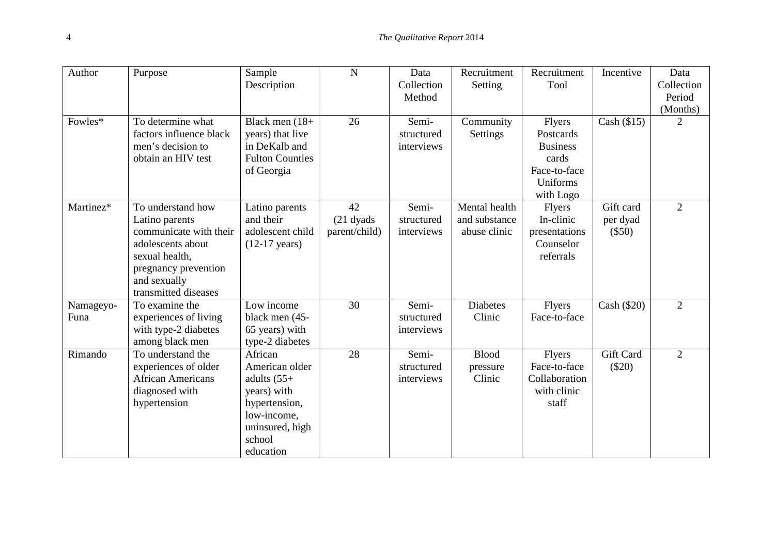| Author    | Purpose                  | Sample                  | $\mathbf N$   | Data       | Recruitment     | Recruitment     | Incentive     | Data           |
|-----------|--------------------------|-------------------------|---------------|------------|-----------------|-----------------|---------------|----------------|
|           |                          | Description             |               | Collection | Setting         | Tool            |               | Collection     |
|           |                          |                         |               | Method     |                 |                 |               | Period         |
|           |                          |                         |               |            |                 |                 |               | (Months)       |
| Fowles*   | To determine what        | Black men $(18+$        | 26            | Semi-      | Community       | <b>Flyers</b>   | Cash $(\$15)$ | $\overline{2}$ |
|           | factors influence black  | years) that live        |               | structured | Settings        | Postcards       |               |                |
|           | men's decision to        | in DeKalb and           |               | interviews |                 | <b>Business</b> |               |                |
|           | obtain an HIV test       | <b>Fulton Counties</b>  |               |            |                 | cards           |               |                |
|           |                          | of Georgia              |               |            |                 | Face-to-face    |               |                |
|           |                          |                         |               |            |                 | Uniforms        |               |                |
|           |                          |                         |               |            |                 | with Logo       |               |                |
| Martinez* | To understand how        | Latino parents          | 42            | Semi-      | Mental health   | <b>Flyers</b>   | Gift card     | $\overline{2}$ |
|           | Latino parents           | and their               | $(21$ dyads   | structured | and substance   | In-clinic       | per dyad      |                |
|           | communicate with their   | adolescent child        | parent/child) | interviews | abuse clinic    | presentations   | $(\$50)$      |                |
|           | adolescents about        | $(12-17 \text{ years})$ |               |            |                 | Counselor       |               |                |
|           | sexual health,           |                         |               |            |                 | referrals       |               |                |
|           | pregnancy prevention     |                         |               |            |                 |                 |               |                |
|           | and sexually             |                         |               |            |                 |                 |               |                |
|           | transmitted diseases     |                         |               |            |                 |                 |               |                |
| Namageyo- | To examine the           | Low income              | 30            | Semi-      | <b>Diabetes</b> | Flyers          | Cash (\$20)   | $\overline{2}$ |
| Funa      | experiences of living    | black men (45-          |               | structured | Clinic          | Face-to-face    |               |                |
|           | with type-2 diabetes     | 65 years) with          |               | interviews |                 |                 |               |                |
|           | among black men          | type-2 diabetes         |               |            |                 |                 |               |                |
| Rimando   | To understand the        | African                 | 28            | Semi-      | <b>Blood</b>    | Flyers          | Gift Card     | $\overline{2}$ |
|           | experiences of older     | American older          |               | structured | pressure        | Face-to-face    | $(\$20)$      |                |
|           | <b>African Americans</b> | adults $(55+$           |               | interviews | Clinic          | Collaboration   |               |                |
|           | diagnosed with           | years) with             |               |            |                 | with clinic     |               |                |
|           | hypertension             | hypertension,           |               |            |                 | staff           |               |                |
|           |                          | low-income,             |               |            |                 |                 |               |                |
|           |                          | uninsured, high         |               |            |                 |                 |               |                |
|           |                          | school                  |               |            |                 |                 |               |                |
|           |                          | education               |               |            |                 |                 |               |                |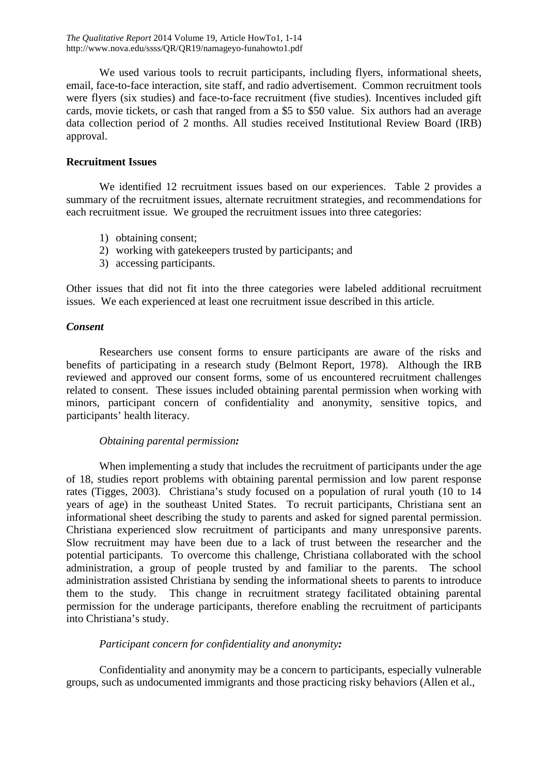We used various tools to recruit participants, including flyers, informational sheets, email, face-to-face interaction, site staff, and radio advertisement. Common recruitment tools were flyers (six studies) and face-to-face recruitment (five studies). Incentives included gift cards, movie tickets, or cash that ranged from a \$5 to \$50 value. Six authors had an average data collection period of 2 months. All studies received Institutional Review Board (IRB) approval.

# **Recruitment Issues**

We identified 12 recruitment issues based on our experiences. Table 2 provides a summary of the recruitment issues, alternate recruitment strategies, and recommendations for each recruitment issue. We grouped the recruitment issues into three categories:

- 1) obtaining consent;
- 2) working with gatekeepers trusted by participants; and
- 3) accessing participants.

Other issues that did not fit into the three categories were labeled additional recruitment issues. We each experienced at least one recruitment issue described in this article.

# *Consent*

Researchers use consent forms to ensure participants are aware of the risks and benefits of participating in a research study (Belmont Report, 1978). Although the IRB reviewed and approved our consent forms, some of us encountered recruitment challenges related to consent. These issues included obtaining parental permission when working with minors, participant concern of confidentiality and anonymity, sensitive topics, and participants' health literacy.

# *Obtaining parental permission:*

When implementing a study that includes the recruitment of participants under the age of 18, studies report problems with obtaining parental permission and low parent response rates (Tigges, 2003). Christiana's study focused on a population of rural youth (10 to 14 years of age) in the southeast United States. To recruit participants, Christiana sent an informational sheet describing the study to parents and asked for signed parental permission. Christiana experienced slow recruitment of participants and many unresponsive parents. Slow recruitment may have been due to a lack of trust between the researcher and the potential participants. To overcome this challenge, Christiana collaborated with the school administration, a group of people trusted by and familiar to the parents. The school administration assisted Christiana by sending the informational sheets to parents to introduce them to the study. This change in recruitment strategy facilitated obtaining parental permission for the underage participants, therefore enabling the recruitment of participants into Christiana's study.

# *Participant concern for confidentiality and anonymity:*

Confidentiality and anonymity may be a concern to participants, especially vulnerable groups, such as undocumented immigrants and those practicing risky behaviors (Allen et al.,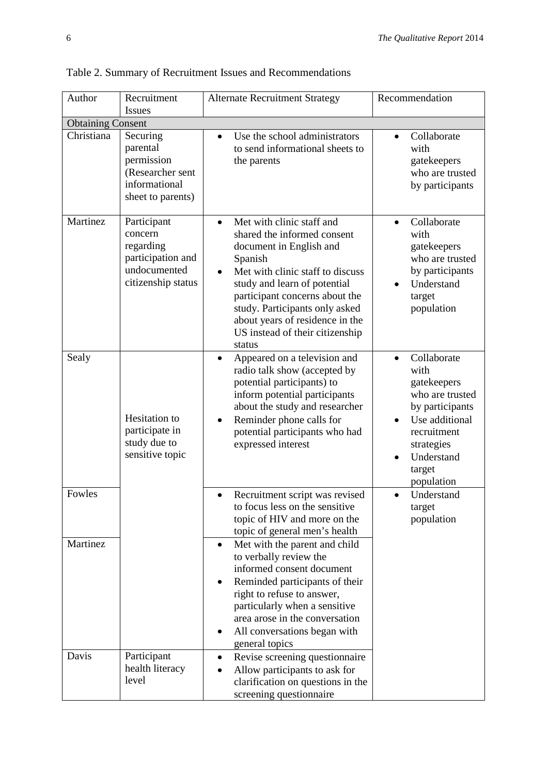| Author                   | Recruitment<br><b>Issues</b>                                                                   | <b>Alternate Recruitment Strategy</b>                                                                                                                                                                                                                                                                                                                                                                                                  | Recommendation                                                                                                                                                             |  |  |  |  |
|--------------------------|------------------------------------------------------------------------------------------------|----------------------------------------------------------------------------------------------------------------------------------------------------------------------------------------------------------------------------------------------------------------------------------------------------------------------------------------------------------------------------------------------------------------------------------------|----------------------------------------------------------------------------------------------------------------------------------------------------------------------------|--|--|--|--|
| <b>Obtaining Consent</b> |                                                                                                |                                                                                                                                                                                                                                                                                                                                                                                                                                        |                                                                                                                                                                            |  |  |  |  |
| Christiana               | Securing<br>parental<br>permission<br>(Researcher sent<br>informational<br>sheet to parents)   | Use the school administrators<br>$\bullet$<br>to send informational sheets to<br>the parents                                                                                                                                                                                                                                                                                                                                           | Collaborate<br>$\bullet$<br>with<br>gatekeepers<br>who are trusted<br>by participants                                                                                      |  |  |  |  |
| Martinez                 | Participant<br>concern<br>regarding<br>participation and<br>undocumented<br>citizenship status | Met with clinic staff and<br>shared the informed consent<br>document in English and<br>Spanish<br>Met with clinic staff to discuss<br>study and learn of potential<br>participant concerns about the<br>study. Participants only asked<br>about years of residence in the<br>US instead of their citizenship<br>status                                                                                                                 | Collaborate<br>with<br>gatekeepers<br>who are trusted<br>by participants<br>Understand<br>target<br>population                                                             |  |  |  |  |
| Sealy                    | Hesitation to<br>participate in<br>study due to<br>sensitive topic                             | Appeared on a television and<br>$\bullet$<br>radio talk show (accepted by<br>potential participants) to<br>inform potential participants<br>about the study and researcher<br>Reminder phone calls for<br>potential participants who had<br>expressed interest                                                                                                                                                                         | Collaborate<br>$\bullet$<br>with<br>gatekeepers<br>who are trusted<br>by participants<br>Use additional<br>recruitment<br>strategies<br>Understand<br>target<br>population |  |  |  |  |
| Fowles                   |                                                                                                | Recruitment script was revised<br>$\bullet$<br>to focus less on the sensitive<br>topic of HIV and more on the<br>topic of general men's health                                                                                                                                                                                                                                                                                         | Understand<br>$\bullet$<br>target<br>population                                                                                                                            |  |  |  |  |
| Martinez<br>Davis        | Participant<br>health literacy<br>level                                                        | Met with the parent and child<br>$\bullet$<br>to verbally review the<br>informed consent document<br>Reminded participants of their<br>right to refuse to answer,<br>particularly when a sensitive<br>area arose in the conversation<br>All conversations began with<br>general topics<br>Revise screening questionnaire<br>$\bullet$<br>Allow participants to ask for<br>clarification on questions in the<br>screening questionnaire |                                                                                                                                                                            |  |  |  |  |

Table 2. Summary of Recruitment Issues and Recommendations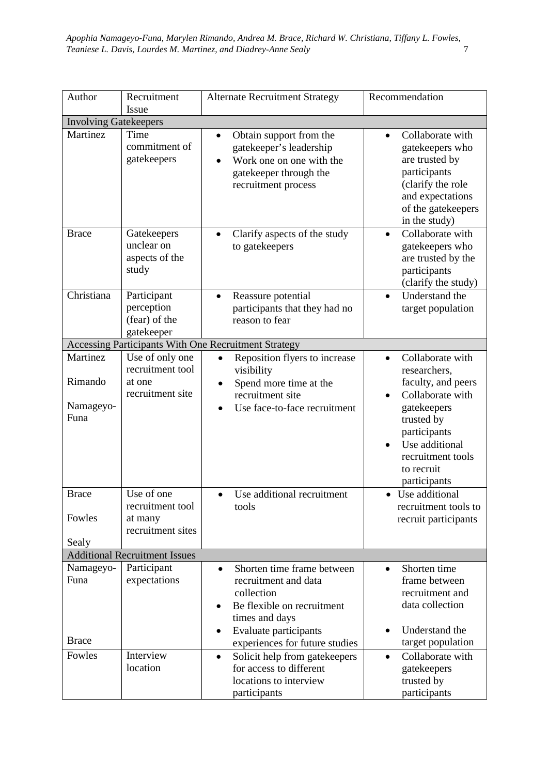| Author                                      | Recruitment                                                       | <b>Alternate Recruitment Strategy</b>                                                                                                                                                                                                                                                       | Recommendation                                                                                                                                                                                            |  |  |  |  |
|---------------------------------------------|-------------------------------------------------------------------|---------------------------------------------------------------------------------------------------------------------------------------------------------------------------------------------------------------------------------------------------------------------------------------------|-----------------------------------------------------------------------------------------------------------------------------------------------------------------------------------------------------------|--|--|--|--|
| Issue<br><b>Involving Gatekeepers</b>       |                                                                   |                                                                                                                                                                                                                                                                                             |                                                                                                                                                                                                           |  |  |  |  |
| Martinez                                    | Time<br>commitment of<br>gatekeepers                              | Obtain support from the<br>$\bullet$<br>gatekeeper's leadership<br>Work one on one with the<br>gatekeeper through the<br>recruitment process                                                                                                                                                | Collaborate with<br>$\bullet$<br>gatekeepers who<br>are trusted by<br>participants<br>(clarify the role<br>and expectations<br>of the gatekeepers<br>in the study)                                        |  |  |  |  |
| <b>Brace</b>                                | Gatekeepers<br>unclear on<br>aspects of the<br>study              | Clarify aspects of the study<br>$\bullet$<br>to gatekeepers                                                                                                                                                                                                                                 | Collaborate with<br>$\bullet$<br>gatekeepers who<br>are trusted by the<br>participants<br>(clarify the study)                                                                                             |  |  |  |  |
| Christiana                                  | Participant<br>perception<br>(fear) of the<br>gatekeeper          | Reassure potential<br>$\bullet$<br>participants that they had no<br>reason to fear                                                                                                                                                                                                          | Understand the<br>$\bullet$<br>target population                                                                                                                                                          |  |  |  |  |
|                                             |                                                                   | Accessing Participants With One Recruitment Strategy                                                                                                                                                                                                                                        |                                                                                                                                                                                                           |  |  |  |  |
| Martinez<br>Rimando<br>Namageyo-<br>Funa    | Use of only one<br>recruitment tool<br>at one<br>recruitment site | Reposition flyers to increase<br>$\bullet$<br>visibility<br>Spend more time at the<br>recruitment site<br>Use face-to-face recruitment                                                                                                                                                      | Collaborate with<br>$\bullet$<br>researchers,<br>faculty, and peers<br>Collaborate with<br>gatekeepers<br>trusted by<br>participants<br>Use additional<br>recruitment tools<br>to recruit<br>participants |  |  |  |  |
| <b>Brace</b><br>Fowles<br>Sealy             | Use of one<br>recruitment tool<br>at many<br>recruitment sites    | Use additional recruitment<br>$\bullet$<br>tools                                                                                                                                                                                                                                            | • Use additional<br>recruitment tools to<br>recruit participants                                                                                                                                          |  |  |  |  |
|                                             | <b>Additional Recruitment Issues</b>                              |                                                                                                                                                                                                                                                                                             |                                                                                                                                                                                                           |  |  |  |  |
| Namageyo-<br>Funa<br><b>Brace</b><br>Fowles | Participant<br>expectations<br>Interview<br>location              | Shorten time frame between<br>$\bullet$<br>recruitment and data<br>collection<br>Be flexible on recruitment<br>$\bullet$<br>times and days<br>Evaluate participants<br>$\bullet$<br>experiences for future studies<br>Solicit help from gatekeepers<br>$\bullet$<br>for access to different | Shorten time<br>$\bullet$<br>frame between<br>recruitment and<br>data collection<br>Understand the<br>target population<br>Collaborate with<br>$\bullet$                                                  |  |  |  |  |
|                                             |                                                                   | locations to interview<br>participants                                                                                                                                                                                                                                                      | gatekeepers<br>trusted by<br>participants                                                                                                                                                                 |  |  |  |  |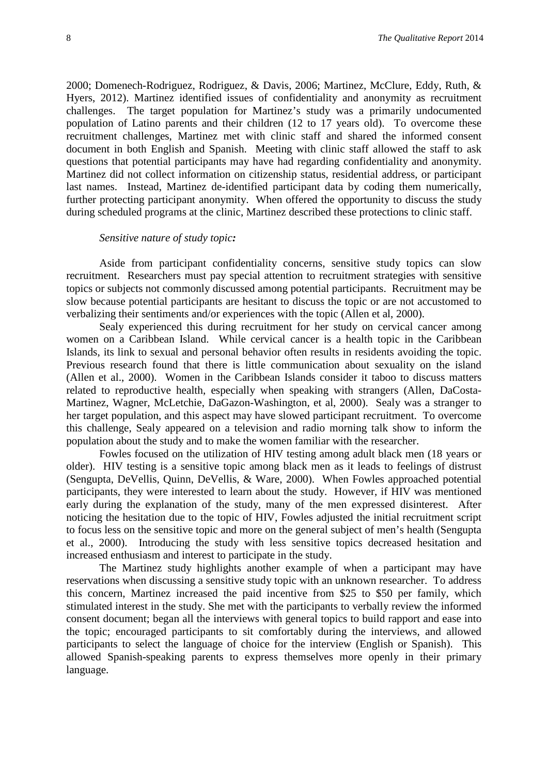2000; Domenech-Rodriguez, Rodriguez, & Davis, 2006; Martinez, McClure, Eddy, Ruth, & Hyers, 2012). Martinez identified issues of confidentiality and anonymity as recruitment challenges. The target population for Martinez's study was a primarily undocumented population of Latino parents and their children (12 to 17 years old). To overcome these recruitment challenges, Martinez met with clinic staff and shared the informed consent document in both English and Spanish. Meeting with clinic staff allowed the staff to ask questions that potential participants may have had regarding confidentiality and anonymity. Martinez did not collect information on citizenship status, residential address, or participant last names. Instead, Martinez de-identified participant data by coding them numerically, further protecting participant anonymity. When offered the opportunity to discuss the study during scheduled programs at the clinic, Martinez described these protections to clinic staff.

#### *Sensitive nature of study topic:*

Aside from participant confidentiality concerns, sensitive study topics can slow recruitment. Researchers must pay special attention to recruitment strategies with sensitive topics or subjects not commonly discussed among potential participants. Recruitment may be slow because potential participants are hesitant to discuss the topic or are not accustomed to verbalizing their sentiments and/or experiences with the topic (Allen et al, 2000).

Sealy experienced this during recruitment for her study on cervical cancer among women on a Caribbean Island. While cervical cancer is a health topic in the Caribbean Islands, its link to sexual and personal behavior often results in residents avoiding the topic. Previous research found that there is little communication about sexuality on the island (Allen et al., 2000). Women in the Caribbean Islands consider it taboo to discuss matters related to reproductive health, especially when speaking with strangers (Allen, DaCosta-Martinez, Wagner, McLetchie, DaGazon-Washington, et al, 2000). Sealy was a stranger to her target population, and this aspect may have slowed participant recruitment. To overcome this challenge, Sealy appeared on a television and radio morning talk show to inform the population about the study and to make the women familiar with the researcher.

Fowles focused on the utilization of HIV testing among adult black men (18 years or older). HIV testing is a sensitive topic among black men as it leads to feelings of distrust (Sengupta, DeVellis, Quinn, DeVellis, & Ware, 2000). When Fowles approached potential participants, they were interested to learn about the study. However, if HIV was mentioned early during the explanation of the study, many of the men expressed disinterest. After noticing the hesitation due to the topic of HIV, Fowles adjusted the initial recruitment script to focus less on the sensitive topic and more on the general subject of men's health (Sengupta et al., 2000). Introducing the study with less sensitive topics decreased hesitation and increased enthusiasm and interest to participate in the study.

The Martinez study highlights another example of when a participant may have reservations when discussing a sensitive study topic with an unknown researcher. To address this concern, Martinez increased the paid incentive from \$25 to \$50 per family, which stimulated interest in the study. She met with the participants to verbally review the informed consent document; began all the interviews with general topics to build rapport and ease into the topic; encouraged participants to sit comfortably during the interviews, and allowed participants to select the language of choice for the interview (English or Spanish). This allowed Spanish-speaking parents to express themselves more openly in their primary language.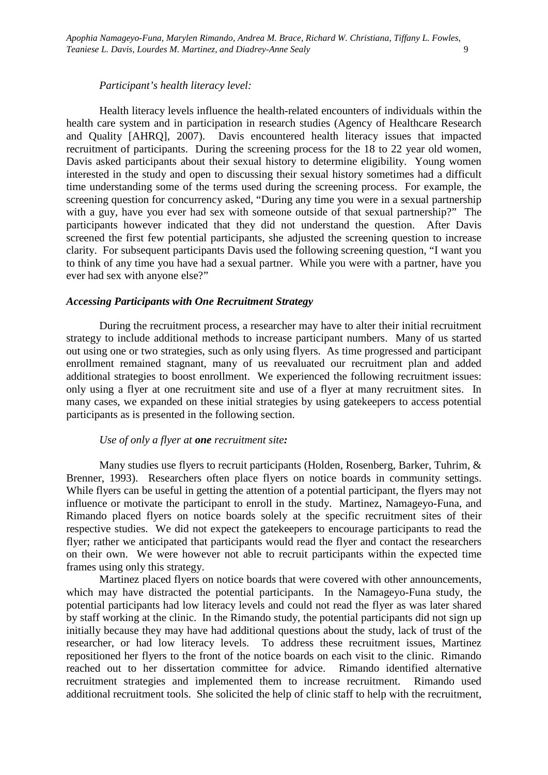*Participant's health literacy level:*

Health literacy levels influence the health-related encounters of individuals within the health care system and in participation in research studies (Agency of Healthcare Research and Quality [AHRQ], 2007). Davis encountered health literacy issues that impacted recruitment of participants. During the screening process for the 18 to 22 year old women, Davis asked participants about their sexual history to determine eligibility. Young women interested in the study and open to discussing their sexual history sometimes had a difficult time understanding some of the terms used during the screening process. For example, the screening question for concurrency asked, "During any time you were in a sexual partnership with a guy, have you ever had sex with someone outside of that sexual partnership?" The participants however indicated that they did not understand the question. After Davis screened the first few potential participants, she adjusted the screening question to increase clarity. For subsequent participants Davis used the following screening question, "I want you to think of any time you have had a sexual partner. While you were with a partner, have you ever had sex with anyone else?"

#### *Accessing Participants with One Recruitment Strategy*

During the recruitment process, a researcher may have to alter their initial recruitment strategy to include additional methods to increase participant numbers. Many of us started out using one or two strategies, such as only using flyers. As time progressed and participant enrollment remained stagnant, many of us reevaluated our recruitment plan and added additional strategies to boost enrollment. We experienced the following recruitment issues: only using a flyer at one recruitment site and use of a flyer at many recruitment sites. In many cases, we expanded on these initial strategies by using gatekeepers to access potential participants as is presented in the following section.

## *Use of only a flyer at one recruitment site:*

Many studies use flyers to recruit participants (Holden, Rosenberg, Barker, Tuhrim, & Brenner, 1993). Researchers often place flyers on notice boards in community settings. While flyers can be useful in getting the attention of a potential participant, the flyers may not influence or motivate the participant to enroll in the study. Martinez, Namageyo-Funa, and Rimando placed flyers on notice boards solely at the specific recruitment sites of their respective studies. We did not expect the gatekeepers to encourage participants to read the flyer; rather we anticipated that participants would read the flyer and contact the researchers on their own. We were however not able to recruit participants within the expected time frames using only this strategy.

Martinez placed flyers on notice boards that were covered with other announcements, which may have distracted the potential participants. In the Namageyo-Funa study, the potential participants had low literacy levels and could not read the flyer as was later shared by staff working at the clinic. In the Rimando study, the potential participants did not sign up initially because they may have had additional questions about the study, lack of trust of the researcher, or had low literacy levels. To address these recruitment issues, Martinez repositioned her flyers to the front of the notice boards on each visit to the clinic. Rimando reached out to her dissertation committee for advice. Rimando identified alternative recruitment strategies and implemented them to increase recruitment. Rimando used additional recruitment tools. She solicited the help of clinic staff to help with the recruitment,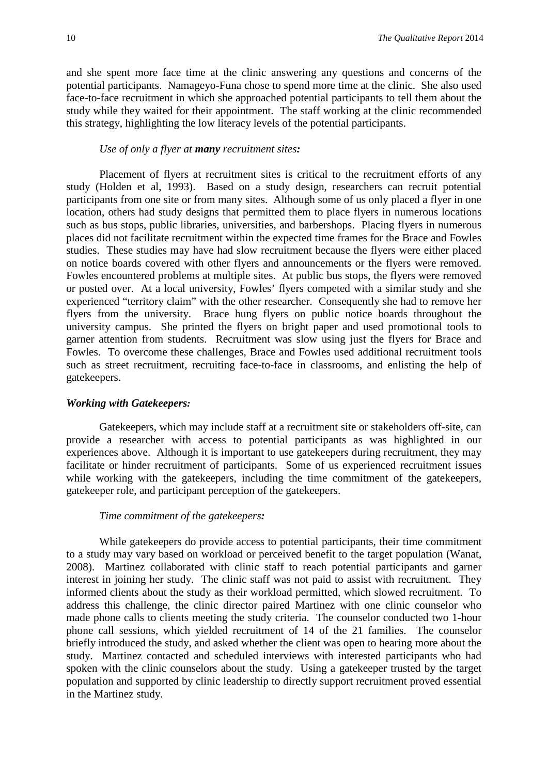and she spent more face time at the clinic answering any questions and concerns of the potential participants. Namageyo-Funa chose to spend more time at the clinic. She also used face-to-face recruitment in which she approached potential participants to tell them about the study while they waited for their appointment. The staff working at the clinic recommended this strategy, highlighting the low literacy levels of the potential participants.

#### *Use of only a flyer at many recruitment sites:*

Placement of flyers at recruitment sites is critical to the recruitment efforts of any study (Holden et al, 1993). Based on a study design, researchers can recruit potential participants from one site or from many sites. Although some of us only placed a flyer in one location, others had study designs that permitted them to place flyers in numerous locations such as bus stops, public libraries, universities, and barbershops. Placing flyers in numerous places did not facilitate recruitment within the expected time frames for the Brace and Fowles studies. These studies may have had slow recruitment because the flyers were either placed on notice boards covered with other flyers and announcements or the flyers were removed. Fowles encountered problems at multiple sites. At public bus stops, the flyers were removed or posted over. At a local university, Fowles' flyers competed with a similar study and she experienced "territory claim" with the other researcher. Consequently she had to remove her flyers from the university. Brace hung flyers on public notice boards throughout the university campus. She printed the flyers on bright paper and used promotional tools to garner attention from students. Recruitment was slow using just the flyers for Brace and Fowles. To overcome these challenges, Brace and Fowles used additional recruitment tools such as street recruitment, recruiting face-to-face in classrooms, and enlisting the help of gatekeepers.

#### *Working with Gatekeepers:*

Gatekeepers, which may include staff at a recruitment site or stakeholders off-site, can provide a researcher with access to potential participants as was highlighted in our experiences above. Although it is important to use gatekeepers during recruitment, they may facilitate or hinder recruitment of participants. Some of us experienced recruitment issues while working with the gatekeepers, including the time commitment of the gatekeepers, gatekeeper role, and participant perception of the gatekeepers.

#### *Time commitment of the gatekeepers:*

While gatekeepers do provide access to potential participants, their time commitment to a study may vary based on workload or perceived benefit to the target population (Wanat, 2008). Martinez collaborated with clinic staff to reach potential participants and garner interest in joining her study. The clinic staff was not paid to assist with recruitment. They informed clients about the study as their workload permitted, which slowed recruitment. To address this challenge, the clinic director paired Martinez with one clinic counselor who made phone calls to clients meeting the study criteria. The counselor conducted two 1-hour phone call sessions, which yielded recruitment of 14 of the 21 families. The counselor briefly introduced the study, and asked whether the client was open to hearing more about the study. Martinez contacted and scheduled interviews with interested participants who had spoken with the clinic counselors about the study. Using a gatekeeper trusted by the target population and supported by clinic leadership to directly support recruitment proved essential in the Martinez study.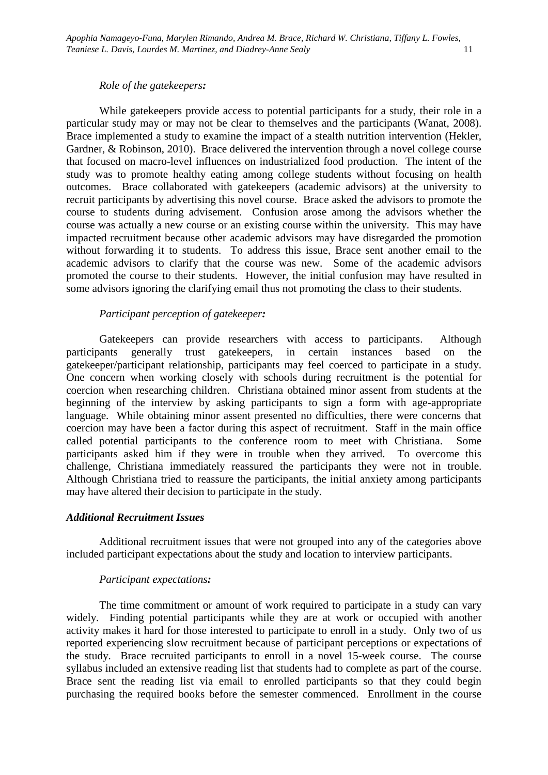#### *Role of the gatekeepers:*

While gatekeepers provide access to potential participants for a study, their role in a particular study may or may not be clear to themselves and the participants (Wanat, 2008). Brace implemented a study to examine the impact of a stealth nutrition intervention (Hekler, Gardner, & Robinson, 2010). Brace delivered the intervention through a novel college course that focused on macro-level influences on industrialized food production. The intent of the study was to promote healthy eating among college students without focusing on health outcomes. Brace collaborated with gatekeepers (academic advisors) at the university to recruit participants by advertising this novel course. Brace asked the advisors to promote the course to students during advisement. Confusion arose among the advisors whether the course was actually a new course or an existing course within the university. This may have impacted recruitment because other academic advisors may have disregarded the promotion without forwarding it to students. To address this issue, Brace sent another email to the academic advisors to clarify that the course was new. Some of the academic advisors promoted the course to their students. However, the initial confusion may have resulted in some advisors ignoring the clarifying email thus not promoting the class to their students.

#### *Participant perception of gatekeeper:*

Gatekeepers can provide researchers with access to participants. Although participants generally trust gatekeepers, in certain instances based on the gatekeeper/participant relationship, participants may feel coerced to participate in a study. One concern when working closely with schools during recruitment is the potential for coercion when researching children. Christiana obtained minor assent from students at the beginning of the interview by asking participants to sign a form with age-appropriate language. While obtaining minor assent presented no difficulties, there were concerns that coercion may have been a factor during this aspect of recruitment. Staff in the main office called potential participants to the conference room to meet with Christiana. Some participants asked him if they were in trouble when they arrived. To overcome this challenge, Christiana immediately reassured the participants they were not in trouble. Although Christiana tried to reassure the participants, the initial anxiety among participants may have altered their decision to participate in the study.

#### *Additional Recruitment Issues*

Additional recruitment issues that were not grouped into any of the categories above included participant expectations about the study and location to interview participants.

#### *Participant expectations:*

The time commitment or amount of work required to participate in a study can vary widely. Finding potential participants while they are at work or occupied with another activity makes it hard for those interested to participate to enroll in a study. Only two of us reported experiencing slow recruitment because of participant perceptions or expectations of the study. Brace recruited participants to enroll in a novel 15-week course. The course syllabus included an extensive reading list that students had to complete as part of the course. Brace sent the reading list via email to enrolled participants so that they could begin purchasing the required books before the semester commenced. Enrollment in the course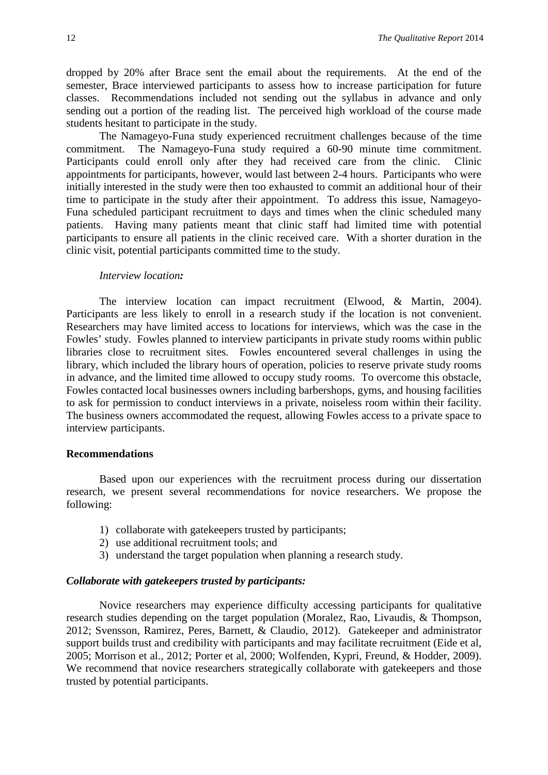dropped by 20% after Brace sent the email about the requirements. At the end of the semester, Brace interviewed participants to assess how to increase participation for future classes. Recommendations included not sending out the syllabus in advance and only sending out a portion of the reading list. The perceived high workload of the course made students hesitant to participate in the study.

The Namageyo-Funa study experienced recruitment challenges because of the time commitment. The Namageyo-Funa study required a 60-90 minute time commitment. Participants could enroll only after they had received care from the clinic. Clinic appointments for participants, however, would last between 2-4 hours. Participants who were initially interested in the study were then too exhausted to commit an additional hour of their time to participate in the study after their appointment. To address this issue, Namageyo-Funa scheduled participant recruitment to days and times when the clinic scheduled many patients. Having many patients meant that clinic staff had limited time with potential participants to ensure all patients in the clinic received care. With a shorter duration in the clinic visit, potential participants committed time to the study.

#### *Interview location:*

The interview location can impact recruitment (Elwood, & Martin, 2004). Participants are less likely to enroll in a research study if the location is not convenient. Researchers may have limited access to locations for interviews, which was the case in the Fowles' study. Fowles planned to interview participants in private study rooms within public libraries close to recruitment sites. Fowles encountered several challenges in using the library, which included the library hours of operation, policies to reserve private study rooms in advance, and the limited time allowed to occupy study rooms. To overcome this obstacle, Fowles contacted local businesses owners including barbershops, gyms, and housing facilities to ask for permission to conduct interviews in a private, noiseless room within their facility. The business owners accommodated the request, allowing Fowles access to a private space to interview participants.

# **Recommendations**

Based upon our experiences with the recruitment process during our dissertation research, we present several recommendations for novice researchers. We propose the following:

- 1) collaborate with gatekeepers trusted by participants;
- 2) use additional recruitment tools; and
- 3) understand the target population when planning a research study.

# *Collaborate with gatekeepers trusted by participants:*

Novice researchers may experience difficulty accessing participants for qualitative research studies depending on the target population (Moralez, Rao, Livaudis, & Thompson, 2012; Svensson, Ramirez, Peres, Barnett, & Claudio, 2012). Gatekeeper and administrator support builds trust and credibility with participants and may facilitate recruitment (Eide et al, 2005; Morrison et al., 2012; Porter et al, 2000; Wolfenden, Kypri, Freund, & Hodder, 2009). We recommend that novice researchers strategically collaborate with gatekeepers and those trusted by potential participants.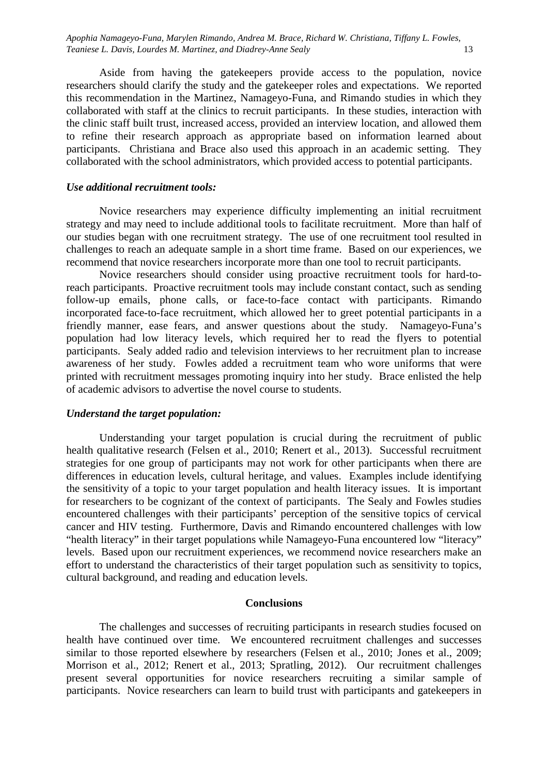*Apophia Namageyo-Funa, Marylen Rimando, Andrea M. Brace, Richard W. Christiana, Tiffany L. Fowles, Teaniese L. Davis, Lourdes M. Martinez, and Diadrey-Anne Sealy* 13

Aside from having the gatekeepers provide access to the population, novice researchers should clarify the study and the gatekeeper roles and expectations. We reported this recommendation in the Martinez, Namageyo-Funa, and Rimando studies in which they collaborated with staff at the clinics to recruit participants. In these studies, interaction with the clinic staff built trust, increased access, provided an interview location, and allowed them to refine their research approach as appropriate based on information learned about participants. Christiana and Brace also used this approach in an academic setting. They collaborated with the school administrators, which provided access to potential participants.

## *Use additional recruitment tools:*

Novice researchers may experience difficulty implementing an initial recruitment strategy and may need to include additional tools to facilitate recruitment.More than half of our studies began with one recruitment strategy. The use of one recruitment tool resulted in challenges to reach an adequate sample in a short time frame. Based on our experiences, we recommend that novice researchers incorporate more than one tool to recruit participants.

Novice researchers should consider using proactive recruitment tools for hard-toreach participants. Proactive recruitment tools may include constant contact, such as sending follow-up emails, phone calls, or face-to-face contact with participants. Rimando incorporated face-to-face recruitment, which allowed her to greet potential participants in a friendly manner, ease fears, and answer questions about the study. Namageyo-Funa's population had low literacy levels, which required her to read the flyers to potential participants. Sealy added radio and television interviews to her recruitment plan to increase awareness of her study. Fowles added a recruitment team who wore uniforms that were printed with recruitment messages promoting inquiry into her study. Brace enlisted the help of academic advisors to advertise the novel course to students.

#### *Understand the target population:*

Understanding your target population is crucial during the recruitment of public health qualitative research (Felsen et al., 2010; Renert et al., 2013). Successful recruitment strategies for one group of participants may not work for other participants when there are differences in education levels, cultural heritage, and values. Examples include identifying the sensitivity of a topic to your target population and health literacy issues. It is important for researchers to be cognizant of the context of participants. The Sealy and Fowles studies encountered challenges with their participants' perception of the sensitive topics of cervical cancer and HIV testing. Furthermore, Davis and Rimando encountered challenges with low "health literacy" in their target populations while Namageyo-Funa encountered low "literacy" levels. Based upon our recruitment experiences, we recommend novice researchers make an effort to understand the characteristics of their target population such as sensitivity to topics, cultural background, and reading and education levels.

#### **Conclusions**

The challenges and successes of recruiting participants in research studies focused on health have continued over time. We encountered recruitment challenges and successes similar to those reported elsewhere by researchers (Felsen et al., 2010; Jones et al., 2009; Morrison et al., 2012; Renert et al., 2013; Spratling, 2012). Our recruitment challenges present several opportunities for novice researchers recruiting a similar sample of participants. Novice researchers can learn to build trust with participants and gatekeepers in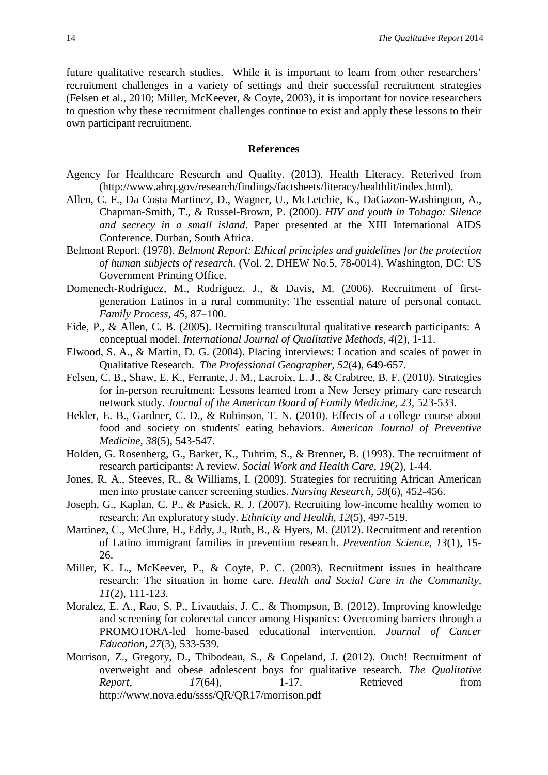future qualitative research studies. While it is important to learn from other researchers' recruitment challenges in a variety of settings and their successful recruitment strategies (Felsen et al., 2010; Miller, McKeever, & Coyte, 2003), it is important for novice researchers to question why these recruitment challenges continue to exist and apply these lessons to their own participant recruitment.

#### **References**

- Agency for Healthcare Research and Quality. (2013). Health Literacy. Reterived from (http://www.ahrq.gov/research/findings/factsheets/literacy/healthlit/index.html).
- Allen, C. F., Da Costa Martinez, D., Wagner, U., McLetchie, K., DaGazon-Washington, A., Chapman-Smith, T., & Russel-Brown, P. (2000). *HIV and youth in Tobago: Silence and secrecy in a small island*. Paper presented at the XIII International AIDS Conference. Durban, South Africa.
- Belmont Report. (1978). *Belmont Report: Ethical principles and guidelines for the protection of human subjects of research*. (Vol. 2, DHEW No.5, 78-0014). Washington, DC: US Government Printing Office.
- Domenech-Rodriguez, M., Rodriguez, J., & Davis, M. (2006). Recruitment of firstgeneration Latinos in a rural community: The essential nature of personal contact. *Family Process, 45,* 87–100.
- Eide, P., & Allen, C. B. (2005). Recruiting transcultural qualitative research participants: A conceptual model. *International Journal of Qualitative Methods, 4*(2), 1-11.
- Elwood, S. A., & Martin, D. G. (2004). Placing interviews: Location and scales of power in Qualitative Research. *The Professional Geographer, 52*(4), 649-657.
- Felsen, C. B., Shaw, E. K., Ferrante, J. M., Lacroix, L. J., & Crabtree, B. F. (2010). Strategies for in-person recruitment: Lessons learned from a New Jersey primary care research network study. *Journal of the American Board of Family Medicine, 23,* 523-533.
- Hekler, E. B., Gardner, C. D., & Robinson, T. N. (2010). Effects of a college course about food and society on students' eating behaviors. *American Journal of Preventive Medicine, 38*(5), 543-547.
- Holden, G. Rosenberg, G., Barker, K., Tuhrim, S., & Brenner, B. (1993). The recruitment of research participants: A review. *Social Work and Health Care*, *19*(2), 1-44.
- Jones, R. A., Steeves, R., & Williams, I. (2009). Strategies for recruiting African American men into prostate cancer screening studies. *Nursing Research, 58*(6), 452-456.
- Joseph, G., Kaplan, C. P., & Pasick, R. J. (2007). Recruiting low-income healthy women to research: An exploratory study. *Ethnicity and Health, 12*(5), 497-519.
- Martinez, C., McClure, H., Eddy, J., Ruth, B., & Hyers, M. (2012). Recruitment and retention of Latino immigrant families in prevention research. *Prevention Science, 13*(1), 15- 26.
- Miller, K. L., McKeever, P., & Coyte, P. C. (2003). Recruitment issues in healthcare research: The situation in home care. *Health and Social Care in the Community, 11*(2), 111-123.
- Moralez, E. A., Rao, S. P., Livaudais, J. C., & Thompson, B. (2012). Improving knowledge and screening for colorectal cancer among Hispanics: Overcoming barriers through a PROMOTORA-led home-based educational intervention. *Journal of Cancer Education, 27*(3), 533-539.
- Morrison, Z., Gregory, D., Thibodeau, S., & Copeland, J. (2012). Ouch! Recruitment of overweight and obese adolescent boys for qualitative research. *The Qualitative Report,* 17(64), 1-17. Retrieved from http://www.nova.edu/ssss/QR/QR17/morrison.pdf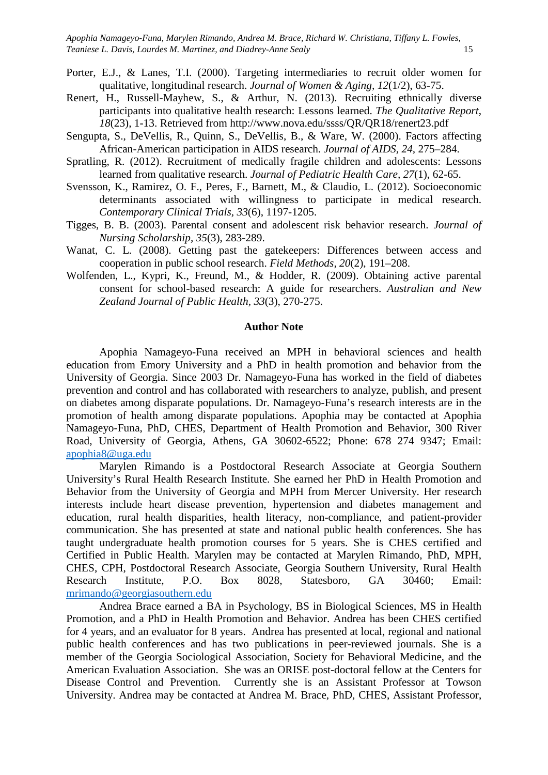*Apophia Namageyo-Funa, Marylen Rimando, Andrea M. Brace, Richard W. Christiana, Tiffany L. Fowles, Teaniese L. Davis, Lourdes M. Martinez, and Diadrey-Anne Sealy* 15

- Porter, E.J., & Lanes, T.I. (2000). Targeting intermediaries to recruit older women for qualitative, longitudinal research. *Journal of Women & Aging, 12*(1/2), 63-75.
- Renert, H., Russell-Mayhew, S., & Arthur, N. (2013). Recruiting ethnically diverse participants into qualitative health research: Lessons learned. *The Qualitative Report*, *18*(23), 1-13. Retrieved from http://www.nova.edu/ssss/QR/QR18/renert23.pdf
- Sengupta, S., DeVellis, R., Quinn, S., DeVellis, B., & Ware, W. (2000). Factors affecting African-American participation in AIDS research. *Journal of AIDS, 24,* 275–284.
- Spratling, R. (2012). Recruitment of medically fragile children and adolescents: Lessons learned from qualitative research. *Journal of Pediatric Health Care, 27*(1), 62-65.
- Svensson, K., Ramirez, O. F., Peres, F., Barnett, M., & Claudio, L. (2012). Socioeconomic determinants associated with willingness to participate in medical research. *Contemporary Clinical Trials, 33*(6), 1197-1205.
- Tigges, B. B. (2003). Parental consent and adolescent risk behavior research. *Journal of Nursing Scholarship, 35*(3), 283-289.
- Wanat, C. L. (2008). Getting past the gatekeepers: Differences between access and cooperation in public school research. *Field Methods, 20*(2), 191–208.
- Wolfenden, L., Kypri, K., Freund, M., & Hodder, R. (2009). Obtaining active parental consent for school-based research: A guide for researchers. *Australian and New Zealand Journal of Public Health, 33*(3), 270-275.

## **Author Note**

Apophia Namageyo-Funa received an MPH in behavioral sciences and health education from Emory University and a PhD in health promotion and behavior from the University of Georgia. Since 2003 Dr. Namageyo-Funa has worked in the field of diabetes prevention and control and has collaborated with researchers to analyze, publish, and present on diabetes among disparate populations. Dr. Namageyo-Funa's research interests are in the promotion of health among disparate populations. Apophia may be contacted at Apophia Namageyo-Funa, PhD, CHES, Department of Health Promotion and Behavior, 300 River Road, University of Georgia, Athens, GA 30602-6522; Phone: 678 274 9347; Email: [apophia8@uga.edu](mailto:apophia8@uga.edu)

Marylen Rimando is a Postdoctoral Research Associate at Georgia Southern University's Rural Health Research Institute. She earned her PhD in Health Promotion and Behavior from the University of Georgia and MPH from Mercer University. Her research interests include heart disease prevention, hypertension and diabetes management and education, rural health disparities, health literacy, non-compliance, and patient-provider communication. She has presented at state and national public health conferences. She has taught undergraduate health promotion courses for 5 years. She is CHES certified and Certified in Public Health. Marylen may be contacted at Marylen Rimando, PhD, MPH, CHES, CPH, Postdoctoral Research Associate, Georgia Southern University, Rural Health Research Institute, P.O. Box 8028, Statesboro, GA 30460; Email: [mrimando@georgiasouthern.edu](mailto:mrimando@georgiasouthern.edu)

Andrea Brace earned a BA in Psychology, BS in Biological Sciences, MS in Health Promotion, and a PhD in Health Promotion and Behavior. Andrea has been CHES certified for 4 years, and an evaluator for 8 years. Andrea has presented at local, regional and national public health conferences and has two publications in peer-reviewed journals. She is a member of the Georgia Sociological Association, Society for Behavioral Medicine, and the American Evaluation Association. She was an ORISE post-doctoral fellow at the Centers for Disease Control and Prevention. Currently she is an Assistant Professor at Towson University. Andrea may be contacted at Andrea M. Brace, PhD, CHES, Assistant Professor,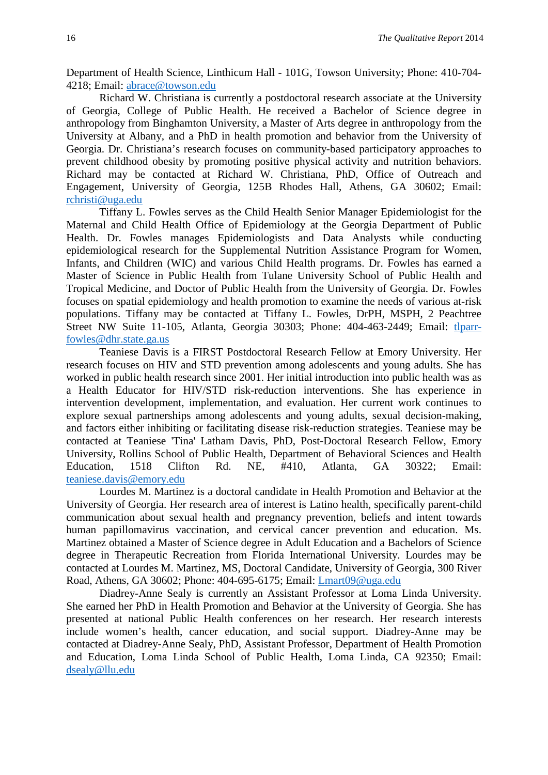Department of Health Science, Linthicum Hall - 101G, Towson University; Phone: 410-704- 4218; Email: [abrace@towson.edu](mailto:abrace@towson.edu)

Richard W. Christiana is currently a postdoctoral research associate at the University of Georgia, College of Public Health. He received a Bachelor of Science degree in anthropology from Binghamton University, a Master of Arts degree in anthropology from the University at Albany, and a PhD in health promotion and behavior from the University of Georgia. Dr. Christiana's research focuses on community-based participatory approaches to prevent childhood obesity by promoting positive physical activity and nutrition behaviors. Richard may be contacted at Richard W. Christiana, PhD, Office of Outreach and Engagement, University of Georgia, 125B Rhodes Hall, Athens, GA 30602; Email: [rchristi@uga.edu](mailto:rchristi@uga.edu)

Tiffany L. Fowles serves as the Child Health Senior Manager Epidemiologist for the Maternal and Child Health Office of Epidemiology at the Georgia Department of Public Health. Dr. Fowles manages Epidemiologists and Data Analysts while conducting epidemiological research for the Supplemental Nutrition Assistance Program for Women, Infants, and Children (WIC) and various Child Health programs. Dr. Fowles has earned a Master of Science in Public Health from Tulane University School of Public Health and Tropical Medicine, and Doctor of Public Health from the University of Georgia. Dr. Fowles focuses on spatial epidemiology and health promotion to examine the needs of various at-risk populations. Tiffany may be contacted at Tiffany L. Fowles, DrPH, MSPH, 2 Peachtree Street NW Suite 11-105, Atlanta, Georgia 30303; Phone: 404-463-2449; Email: [tlparr](mailto:tlparr-fowles@dhr.state.ga.us)[fowles@dhr.state.ga.us](mailto:tlparr-fowles@dhr.state.ga.us)

Teaniese Davis is a FIRST Postdoctoral Research Fellow at Emory University. Her research focuses on HIV and STD prevention among adolescents and young adults. She has worked in public health research since 2001. Her initial introduction into public health was as a Health Educator for HIV/STD risk-reduction interventions. She has experience in intervention development, implementation, and evaluation. Her current work continues to explore sexual partnerships among adolescents and young adults, sexual decision-making, and factors either inhibiting or facilitating disease risk-reduction strategies. Teaniese may be contacted at Teaniese 'Tina' Latham Davis, PhD, Post-Doctoral Research Fellow, Emory University, Rollins School of Public Health, Department of Behavioral Sciences and Health Education, 1518 Clifton Rd. NE, #410, Atlanta, GA 30322; Email: [teaniese.davis@emory.edu](mailto:teaniese.davis@emory.edu)

Lourdes M. Martinez is a doctoral candidate in Health Promotion and Behavior at the University of Georgia. Her research area of interest is Latino health, specifically parent-child communication about sexual health and pregnancy prevention, beliefs and intent towards human papillomavirus vaccination, and cervical cancer prevention and education. Ms. Martinez obtained a Master of Science degree in Adult Education and a Bachelors of Science degree in Therapeutic Recreation from Florida International University. Lourdes may be contacted at Lourdes M. Martinez, MS, Doctoral Candidate, University of Georgia, 300 River Road, Athens, GA 30602; Phone: 404-695-6175; Email: [Lmart09@uga.edu](mailto:Lmart09@uga.edu)

Diadrey-Anne Sealy is currently an Assistant Professor at Loma Linda University. She earned her PhD in Health Promotion and Behavior at the University of Georgia. She has presented at national Public Health conferences on her research. Her research interests include women's health, cancer education, and social support. Diadrey-Anne may be contacted at Diadrey-Anne Sealy, PhD, Assistant Professor, Department of Health Promotion and Education, Loma Linda School of Public Health, Loma Linda, CA 92350; Email: [dsealy@llu.edu](mailto:dsealy@llu.edu)